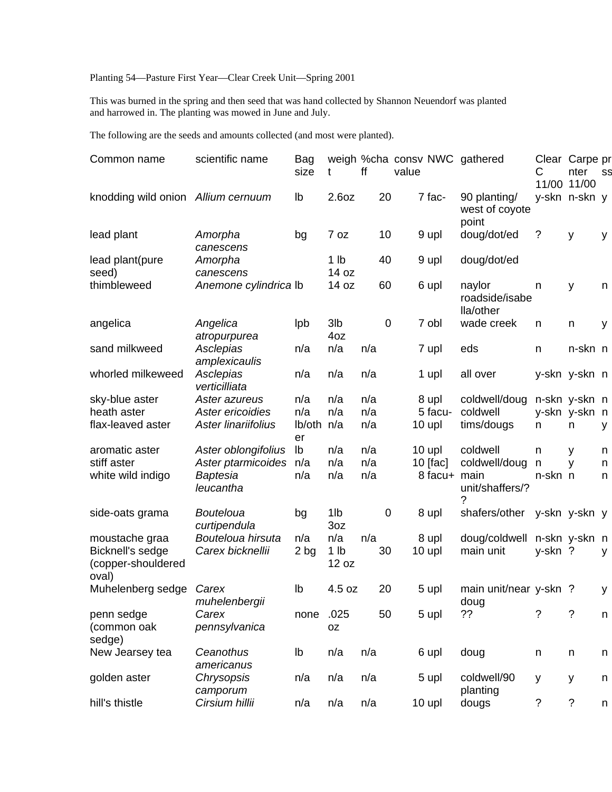## Planting 54—Pasture First Year—Clear Creek Unit—Spring 2001

This was burned in the spring and then seed that was hand collected by Shannon Neuendorf was planted and harrowed in. The planting was mowed in June and July.

The following are the seeds and amounts collected (and most were planted).

| Common name                                                       | scientific name                                                    | Bag<br>size                    | t                               | ff                | value       |                                      | weigh %cha consv NWC gathered                     | С                       | Clear Carpe pr<br>nter<br>11/00 11/00 | SS          |
|-------------------------------------------------------------------|--------------------------------------------------------------------|--------------------------------|---------------------------------|-------------------|-------------|--------------------------------------|---------------------------------------------------|-------------------------|---------------------------------------|-------------|
| knodding wild onion Allium cernuum                                |                                                                    | lb                             | 2.6oz                           | 20                |             | 7 fac-                               | 90 planting/<br>west of coyote<br>point           |                         | y-skn n-skn y                         |             |
| lead plant                                                        | Amorpha<br>canescens                                               | bg                             | 7 oz                            | 10                |             | 9 upl                                | doug/dot/ed                                       | ?                       | y                                     | y           |
| lead plant(pure<br>seed)                                          | Amorpha<br>canescens                                               |                                | 1 <sub>lb</sub><br>14 oz        | 40                |             | 9 upl                                | doug/dot/ed                                       |                         |                                       |             |
| thimbleweed                                                       | Anemone cylindrica lb                                              |                                | 14 oz                           | 60                |             | 6 upl                                | naylor<br>roadside/isabe<br>lla/other             | n                       | y                                     | n           |
| angelica                                                          | Angelica<br>atropurpurea                                           | lpb                            | 3lb<br>4oz                      |                   | $\mathbf 0$ | 7 obl                                | wade creek                                        | n                       | n                                     | y           |
| sand milkweed                                                     | Asclepias<br>amplexicaulis                                         | n/a                            | n/a                             | n/a               |             | 7 upl                                | eds                                               | n                       | n-skn n                               |             |
| whorled milkeweed                                                 | Asclepias<br>verticilliata                                         | n/a                            | n/a                             | n/a               |             | 1 upl                                | all over                                          |                         | y-skn y-skn n                         |             |
| sky-blue aster<br>heath aster<br>flax-leaved aster                | Aster azureus<br>Aster ericoidies<br>Aster linariifolius           | n/a<br>n/a<br>lb/oth n/a<br>er | n/a<br>n/a                      | n/a<br>n/a<br>n/a |             | 8 upl<br>5 facu-<br>$10$ upl         | coldwell/doug<br>coldwell<br>tims/dougs           | n                       | n-skn y-skn n<br>y-skn y-skn n<br>n   | У           |
| aromatic aster<br>stiff aster<br>white wild indigo                | Aster oblongifolius<br>Aster ptarmicoides<br>Baptesia<br>leucantha | lb<br>n/a<br>n/a               | n/a<br>n/a<br>n/a               | n/a<br>n/a<br>n/a |             | 10 upl<br>$10$ [fac]<br>8 facu+ main | coldwell<br>coldwell/doug<br>unit/shaffers/?<br>? | n<br>$\sf n$<br>n-skn n | y<br>y                                | n<br>n<br>n |
| side-oats grama                                                   | <b>Bouteloua</b><br>curtipendula                                   | bg                             | 1lb<br>3oz                      |                   | 0           | 8 upl                                | shafers/other                                     |                         | y-skn y-skn y                         |             |
| moustache graa<br>Bicknell's sedge<br>(copper-shouldered<br>oval) | Bouteloua hirsuta<br>Carex bicknellii                              | n/a<br>2 bg                    | n/a<br>1 <sub>lb</sub><br>12 oz | n/a<br>30         |             | 8 upl<br>10 upl                      | doug/coldwell<br>main unit                        | y-skn?                  | n-skn y-skn n                         | y           |
| Muhelenberg sedge                                                 | Carex<br>muhelenbergii                                             | Ib                             | 4.5 oz                          | 20                |             | 5 upl                                | main unit/near y-skn?<br>doug                     |                         |                                       | У           |
| penn sedge<br>(common oak<br>sedge)                               | Carex<br>pennsylvanica                                             | none                           | .025<br>0Z                      | 50                |             | 5 upl                                | ??                                                | $\tilde{?}$             | $\tilde{?}$                           | n           |
| New Jearsey tea                                                   | Ceanothus<br>americanus                                            | Ib                             | n/a                             | n/a               |             | 6 upl                                | doug                                              | n                       | n                                     | n           |
| golden aster                                                      | Chrysopsis<br>camporum                                             | n/a                            | n/a                             | n/a               |             | 5 upl                                | coldwell/90<br>planting                           | У                       | у                                     | n           |
| hill's thistle                                                    | Cirsium hillii                                                     | n/a                            | n/a                             | n/a               |             | 10 upl                               | dougs                                             | ?                       | ?                                     | n           |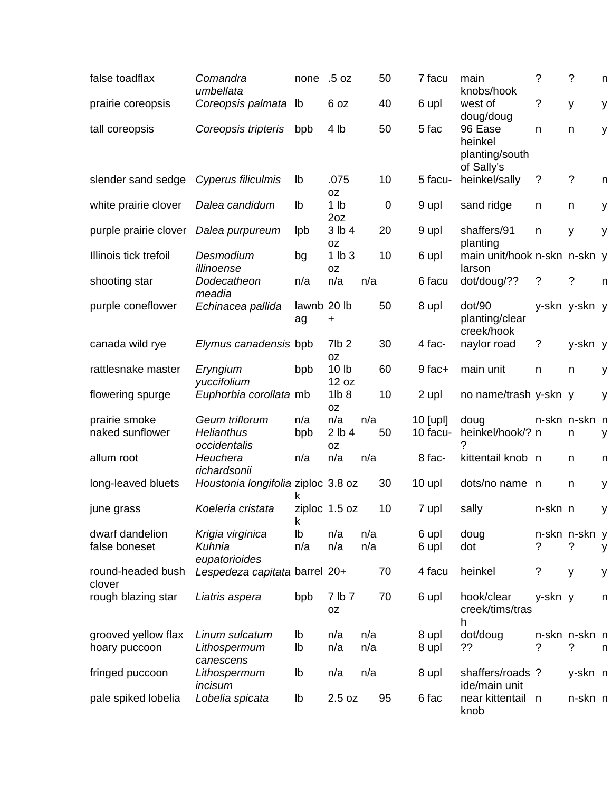| false toadflax                       | Comandra<br>umbellata                               | none              | .5 oz                         | 50         |             | 7 facu               | main<br>knobs/hook                     | ?       | $\tilde{?}$        | n |
|--------------------------------------|-----------------------------------------------------|-------------------|-------------------------------|------------|-------------|----------------------|----------------------------------------|---------|--------------------|---|
| prairie coreopsis                    | Coreopsis palmata                                   | lb                | 6 oz                          | 40         |             | 6 upl                | west of<br>doug/doug                   | ?       | y                  | у |
| tall coreopsis                       | Coreopsis tripteris                                 | bpb               | 4 lb                          | 50         |             | 5 fac                | 96 Ease<br>heinkel<br>planting/south   | n       | n                  | У |
|                                      |                                                     |                   |                               |            |             |                      | of Sally's                             |         |                    |   |
| slender sand sedge                   | Cyperus filiculmis                                  | lb                | .075<br>0Z                    | 10         |             | 5 facu-              | heinkel/sally                          | ?       | $\tilde{?}$        | n |
| white prairie clover                 | Dalea candidum                                      | lb                | 1 <sub>lb</sub><br>2oz        |            | $\mathbf 0$ | 9 upl                | sand ridge                             | n       | n                  | у |
| purple prairie clover                | Dalea purpureum                                     | <b>lpb</b>        | 3 lb 4<br>0Z                  | 20         |             | 9 upl                | shaffers/91<br>planting                | n       | y                  | У |
| Illinois tick trefoil                | Desmodium<br>illinoense                             | bg                | 1 lb3<br><b>OZ</b>            | 10         |             | 6 upl                | main unit/hook n-skn n-skn y<br>larson |         |                    |   |
| shooting star                        | Dodecatheon<br>meadia                               | n/a               | n/a                           | n/a        |             | 6 facu               | dot/doug/??                            | ?       | ?                  | n |
| purple coneflower                    | Echinacea pallida                                   | lawnb 20 lb<br>ag | +                             | 50         |             | 8 upl                | dot/90<br>planting/clear<br>creek/hook |         | y-skn y-skn y      |   |
| canada wild rye                      | Elymus canadensis bpb                               |                   | 7lb <sub>2</sub><br>0Z        | 30         |             | 4 fac-               | naylor road                            | ?       | y-skn y            |   |
| rattlesnake master                   | Eryngium<br>yuccifolium                             | bpb               | 10 <sub>lb</sub><br>12 oz     | 60         |             | 9 fac+               | main unit                              | n       | n                  | у |
| flowering spurge                     | Euphorbia corollata mb                              |                   | 1lb <sub>8</sub><br><b>OZ</b> | 10         |             | 2 upl                | no name/trash y-skn y                  |         |                    | y |
| prairie smoke<br>naked sunflower     | Geum triflorum<br><b>Helianthus</b><br>occidentalis | n/a<br>bpb        | n/a<br>2 lb 4<br><b>OZ</b>    | n/a<br>50  |             | 10 [upl]<br>10 facu- | doug<br>heinkel/hook/? n               |         | n-skn n-skn n<br>n | у |
| allum root                           | Heuchera<br>richardsonii                            | n/a               | n/a                           | n/a        |             | 8 fac-               | kittentail knob n                      |         | n                  | n |
| long-leaved bluets                   | Houstonia longifolia ziploc 3.8 oz                  | k                 |                               | 30         |             | 10 upl               | dots/no name n                         |         | n                  | у |
| june grass                           | Koeleria cristata                                   | ĸ                 | ziploc 1.5 oz                 | 10         |             | 7 upl                | sally                                  | n-skn n |                    | у |
| dwarf dandelion<br>false boneset     | Krigia virginica<br>Kuhnia                          | lb<br>n/a         | n/a<br>n/a                    | n/a<br>n/a |             | 6 upl<br>6 upl       | doug<br>dot                            | ?       | n-skn n-skn y<br>? | у |
| round-headed bush<br>clover          | eupatorioides<br>Lespedeza capitata barrel 20+      |                   |                               | 70         |             | 4 facu               | heinkel                                | ?       | y                  | у |
| rough blazing star                   | Liatris aspera                                      | bpb               | 7 lb 7<br>0Z                  | 70         |             | 6 upl                | hook/clear<br>creek/tims/tras<br>h     | y-skn y |                    | n |
| grooved yellow flax<br>hoary puccoon | Linum sulcatum<br>Lithospermum                      | lb<br>lb          | n/a<br>n/a                    | n/a<br>n/a |             | 8 upl<br>8 upl       | dot/doug<br>??                         | ?       | n-skn n-skn n<br>? | n |
|                                      | canescens                                           |                   |                               |            |             |                      |                                        |         |                    |   |
| fringed puccoon                      | Lithospermum<br>incisum                             | lb                | n/a                           | n/a        |             | 8 upl                | shaffers/roads?<br>ide/main unit       |         | y-skn n            |   |
| pale spiked lobelia                  | Lobelia spicata                                     | lb                | 2.5 oz                        | 95         |             | 6 fac                | near kittentail<br>knob                | n       | n-skn n            |   |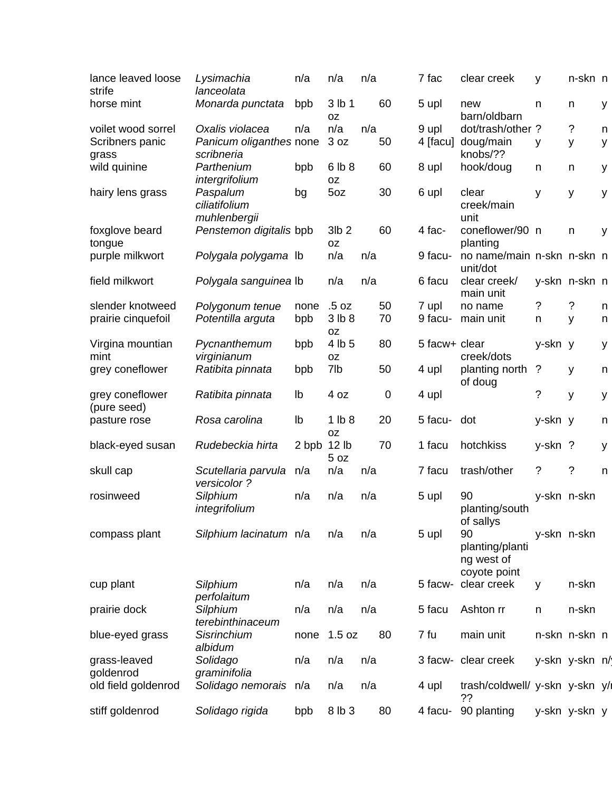| lance leaved loose<br>strife   | Lysimachia<br>lanceolata                  | n/a   | n/a                      | n/a |                  | 7 fac         | clear creek                                         | y           | n-skn n        |   |
|--------------------------------|-------------------------------------------|-------|--------------------------|-----|------------------|---------------|-----------------------------------------------------|-------------|----------------|---|
| horse mint                     | Monarda punctata                          | bpb   | 3 lb 1<br><b>OZ</b>      |     | 60               | 5 upl         | new<br>barn/oldbarn                                 | n           | n              | у |
| voilet wood sorrel             | Oxalis violacea                           | n/a   | n/a                      | n/a |                  | 9 upl         | dot/trash/other?                                    |             | ?              | n |
| Scribners panic<br>grass       | Panicum oliganthes none<br>scribneria     |       | 3 oz                     |     | 50               | 4 [facu]      | doug/main<br>knobs/??                               | у           | У              | у |
| wild quinine                   | Parthenium<br>intergrifolium              | bpb   | 6 lb 8<br>0Z             |     | 60               | 8 upl         | hook/doug                                           | n           | n              | у |
| hairy lens grass               | Paspalum<br>ciliatifolium<br>muhlenbergii | bg    | 5oz                      |     | 30               | 6 upl         | clear<br>creek/main<br>unit                         | у           | У              | у |
| foxglove beard<br>tongue       | Penstemon digitalis bpb                   |       | 3lb <sub>2</sub><br>0Z   |     | 60               | 4 fac-        | coneflower/90 n<br>planting                         |             | n              | у |
| purple milkwort                | Polygala polygama lb                      |       | n/a                      | n/a |                  | 9 facu-       | no name/main n-skn n-skn n<br>unit/dot              |             |                |   |
| field milkwort                 | Polygala sanguinea lb                     |       | n/a                      | n/a |                  | 6 facu        | clear creek/<br>main unit                           |             | y-skn n-skn n  |   |
| slender knotweed               | Polygonum tenue                           | none  | .5 oz                    |     | 50               | 7 upl         | no name                                             | ?           | ?              | n |
| prairie cinquefoil             | Potentilla arguta                         | bpb   | 3 lb 8<br><b>OZ</b>      |     | 70               | 9 facu-       | main unit                                           | n           | У              | n |
| Virgina mountian<br>mint       | Pycnanthemum<br>virginianum               | bpb   | 4 lb 5<br>0Z             |     | 80               | 5 facw+ clear | creek/dots                                          | y-skn y     |                | у |
| grey coneflower                | Ratibita pinnata                          | bpb   | 7lb                      |     | 50               | 4 upl         | planting north<br>of doug                           | ?           | У              | n |
| grey coneflower<br>(pure seed) | Ratibita pinnata                          | Ib    | 4 oz                     |     | $\boldsymbol{0}$ | 4 upl         |                                                     | $\tilde{?}$ | y              | у |
| pasture rose                   | Rosa carolina                             | Ib    | 1 lb8<br><b>OZ</b>       |     | 20               | 5 facu-       | dot                                                 | y-skn y     |                | n |
| black-eyed susan               | Rudebeckia hirta                          | 2 bpb | 12 <sub>lb</sub><br>5 oz |     | 70               | 1 facu        | hotchkiss                                           | y-skn ?     |                | y |
| skull cap                      | Scutellaria parvula<br>versicolor?        | n/a   | n/a                      | n/a |                  | 7 facu        | trash/other                                         | ?           | ?              | n |
| rosinweed                      | Silphium<br>integrifolium                 | n/a   | n/a                      | n/a |                  | 5 upl         | 90<br>planting/south<br>of sallys                   |             | y-skn n-skn    |   |
| compass plant                  | Silphium lacinatum n/a                    |       | n/a                      | n/a |                  | 5 upl         | 90<br>planting/planti<br>ng west of<br>coyote point |             | y-skn n-skn    |   |
| cup plant                      | Silphium<br>perfolaitum                   | n/a   | n/a                      | n/a |                  | 5 facw-       | clear creek                                         | y           | n-skn          |   |
| prairie dock                   | Silphium<br>terebinthinaceum              | n/a   | n/a                      | n/a |                  | 5 facu        | Ashton rr                                           | n           | n-skn          |   |
| blue-eyed grass                | Sisrinchium<br>albidum                    | none  | 1.5 oz                   |     | 80               | 7 fu          | main unit                                           |             | n-skn n-skn n  |   |
| grass-leaved<br>goldenrod      | Solidago<br>graminifolia                  | n/a   | n/a                      | n/a |                  |               | 3 facw- clear creek                                 |             | y-skn y-skn n/ |   |
| old field goldenrod            | Solidago nemorais n/a                     |       | n/a                      | n/a |                  | 4 upl         | trash/coldwell/ y-skn y-skn y/l<br>??               |             |                |   |
| stiff goldenrod                | Solidago rigida                           | bpb   | 8 lb 3                   |     | 80               | 4 facu-       | 90 planting                                         |             | y-skn y-skn y  |   |